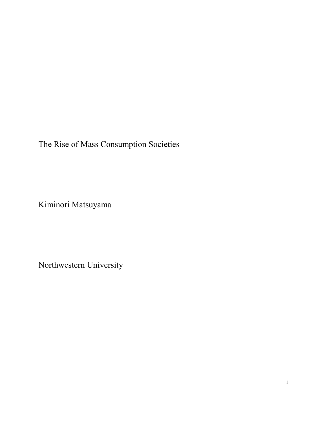The Rise of Mass Consumption Societies

Kiminori Matsuyama

Northwestern University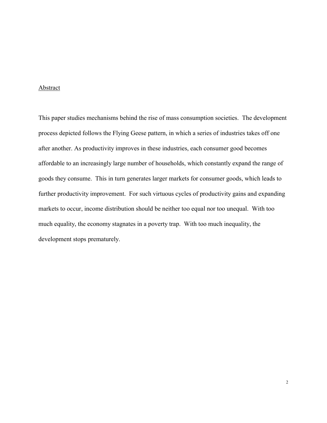#### Abstract

This paper studies mechanisms behind the rise of mass consumption societies. The development process depicted follows the Flying Geese pattern, in which a series of industries takes off one after another. As productivity improves in these industries, each consumer good becomes affordable to an increasingly large number of households, which constantly expand the range of goods they consume. This in turn generates larger markets for consumer goods, which leads to further productivity improvement. For such virtuous cycles of productivity gains and expanding markets to occur, income distribution should be neither too equal nor too unequal. With too much equality, the economy stagnates in a poverty trap. With too much inequality, the development stops prematurely.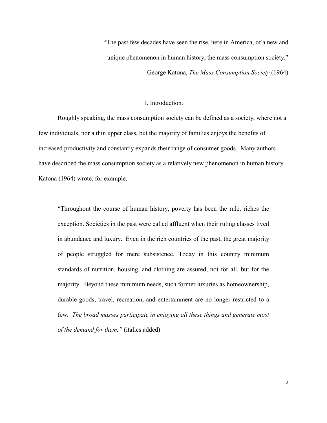"The past few decades have seen the rise, here in America, of a new and unique phenomenon in human history, the mass consumption society."

George Katona, *The Mass Consumption Society* (1964)

# 1. Introduction.

Roughly speaking, the mass consumption society can be defined as a society, where not a few individuals, nor a thin upper class, but the majority of families enjoys the benefits of increased productivity and constantly expands their range of consumer goods. Many authors have described the mass consumption society as a relatively new phenomenon in human history. Katona (1964) wrote, for example,

"Throughout the course of human history, poverty has been the rule, riches the exception. Societies in the past were called affluent when their ruling classes lived in abundance and luxury. Even in the rich countries of the past, the great majority of people struggled for mere subsistence. Today in this country minimum standards of nutrition, housing, and clothing are assured, not for all, but for the majority. Beyond these minimum needs, such former luxuries as homeownership, durable goods, travel, recreation, and entertainment are no longer restricted to a few*. The broad masses participate in enjoying all these things and generate most of the demand for them."* (italics added)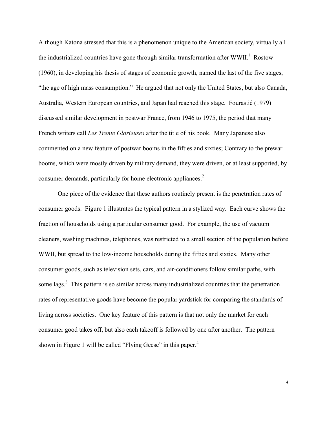Although Katona stressed that this is a phenomenon unique to the American society, virtually all the industrialized countries have gone through similar transformation after  $WWII$ .<sup>1</sup> Rostow (1960), in developing his thesis of stages of economic growth, named the last of the five stages, "the age of high mass consumption." He argued that not only the United States, but also Canada, Australia, Western European countries, and Japan had reached this stage. Fourastié (1979) discussed similar development in postwar France, from 1946 to 1975, the period that many French writers call *Les Trente Glorieuses* after the title of his book. Many Japanese also commented on a new feature of postwar booms in the fifties and sixties; Contrary to the prewar booms, which were mostly driven by military demand, they were driven, or at least supported, by consumer demands, particularly for home electronic appliances.<sup>2</sup>

One piece of the evidence that these authors routinely present is the penetration rates of consumer goods. Figure 1 illustrates the typical pattern in a stylized way. Each curve shows the fraction of households using a particular consumer good. For example, the use of vacuum cleaners, washing machines, telephones, was restricted to a small section of the population before WWII, but spread to the low-income households during the fifties and sixties. Many other consumer goods, such as television sets, cars, and air-conditioners follow similar paths, with some lags.<sup>3</sup> This pattern is so similar across many industrialized countries that the penetration rates of representative goods have become the popular yardstick for comparing the standards of living across societies. One key feature of this pattern is that not only the market for each consumer good takes off, but also each takeoff is followed by one after another. The pattern shown in Figure 1 will be called "Flying Geese" in this paper.<sup>4</sup>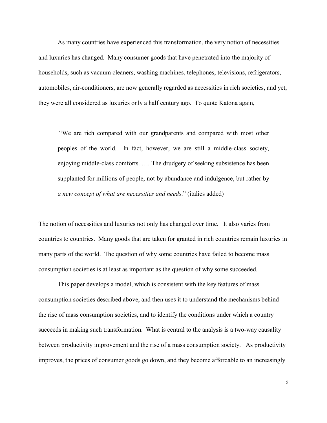As many countries have experienced this transformation, the very notion of necessities and luxuries has changed. Many consumer goods that have penetrated into the majority of households, such as vacuum cleaners, washing machines, telephones, televisions, refrigerators, automobiles, air-conditioners, are now generally regarded as necessities in rich societies, and yet, they were all considered as luxuries only a half century ago. To quote Katona again,

"We are rich compared with our grandparents and compared with most other peoples of the world. In fact, however, we are still a middle-class society, enjoying middle-class comforts. …. The drudgery of seeking subsistence has been supplanted for millions of people, not by abundance and indulgence, but rather by *a new concept of what are necessities and needs*." (italics added)

The notion of necessities and luxuries not only has changed over time. It also varies from countries to countries. Many goods that are taken for granted in rich countries remain luxuries in many parts of the world. The question of why some countries have failed to become mass consumption societies is at least as important as the question of why some succeeded.

This paper develops a model, which is consistent with the key features of mass consumption societies described above, and then uses it to understand the mechanisms behind the rise of mass consumption societies, and to identify the conditions under which a country succeeds in making such transformation. What is central to the analysis is a two-way causality between productivity improvement and the rise of a mass consumption society. As productivity improves, the prices of consumer goods go down, and they become affordable to an increasingly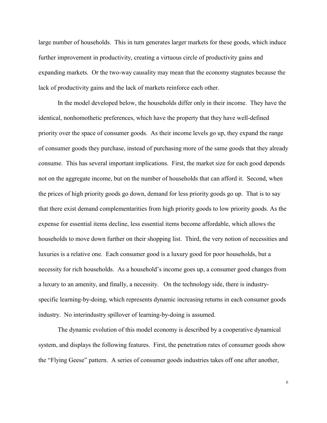large number of households. This in turn generates larger markets for these goods, which induce further improvement in productivity, creating a virtuous circle of productivity gains and expanding markets. Or the two-way causality may mean that the economy stagnates because the lack of productivity gains and the lack of markets reinforce each other.

In the model developed below, the households differ only in their income. They have the identical, nonhomothetic preferences, which have the property that they have well-defined priority over the space of consumer goods. As their income levels go up, they expand the range of consumer goods they purchase, instead of purchasing more of the same goods that they already consume. This has several important implications. First, the market size for each good depends not on the aggregate income, but on the number of households that can afford it. Second, when the prices of high priority goods go down, demand for less priority goods go up. That is to say that there exist demand complementarities from high priority goods to low priority goods. As the expense for essential items decline, less essential items become affordable, which allows the households to move down further on their shopping list. Third, the very notion of necessities and luxuries is a relative one. Each consumer good is a luxury good for poor households, but a necessity for rich households. As a household's income goes up, a consumer good changes from a luxury to an amenity, and finally, a necessity. On the technology side, there is industryspecific learning-by-doing, which represents dynamic increasing returns in each consumer goods industry. No interindustry spillover of learning-by-doing is assumed.

The dynamic evolution of this model economy is described by a cooperative dynamical system, and displays the following features. First, the penetration rates of consumer goods show the "Flying Geese" pattern. A series of consumer goods industries takes off one after another,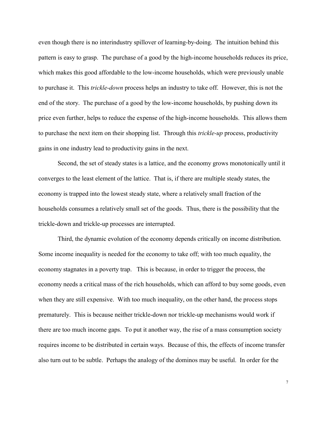even though there is no interindustry spillover of learning-by-doing. The intuition behind this pattern is easy to grasp. The purchase of a good by the high-income households reduces its price, which makes this good affordable to the low-income households, which were previously unable to purchase it. This *trickle-down* process helps an industry to take off. However, this is not the end of the story. The purchase of a good by the low-income households, by pushing down its price even further, helps to reduce the expense of the high-income households. This allows them to purchase the next item on their shopping list. Through this *trickle-up* process, productivity gains in one industry lead to productivity gains in the next.

Second, the set of steady states is a lattice, and the economy grows monotonically until it converges to the least element of the lattice. That is, if there are multiple steady states, the economy is trapped into the lowest steady state, where a relatively small fraction of the households consumes a relatively small set of the goods. Thus, there is the possibility that the trickle-down and trickle-up processes are interrupted.

Third, the dynamic evolution of the economy depends critically on income distribution. Some income inequality is needed for the economy to take off; with too much equality, the economy stagnates in a poverty trap. This is because, in order to trigger the process, the economy needs a critical mass of the rich households, which can afford to buy some goods, even when they are still expensive. With too much inequality, on the other hand, the process stops prematurely. This is because neither trickle-down nor trickle-up mechanisms would work if there are too much income gaps. To put it another way, the rise of a mass consumption society requires income to be distributed in certain ways. Because of this, the effects of income transfer also turn out to be subtle. Perhaps the analogy of the dominos may be useful. In order for the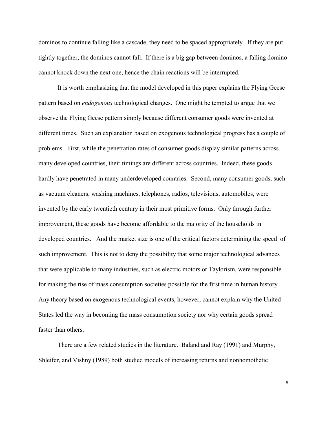dominos to continue falling like a cascade, they need to be spaced appropriately. If they are put tightly together, the dominos cannot fall. If there is a big gap between dominos, a falling domino cannot knock down the next one, hence the chain reactions will be interrupted.

It is worth emphasizing that the model developed in this paper explains the Flying Geese pattern based on *endogenous* technological changes. One might be tempted to argue that we observe the Flying Geese pattern simply because different consumer goods were invented at different times. Such an explanation based on exogenous technological progress has a couple of problems. First, while the penetration rates of consumer goods display similar patterns across many developed countries, their timings are different across countries. Indeed, these goods hardly have penetrated in many underdeveloped countries. Second, many consumer goods, such as vacuum cleaners, washing machines, telephones, radios, televisions, automobiles, were invented by the early twentieth century in their most primitive forms. Only through further improvement, these goods have become affordable to the majority of the households in developed countries. And the market size is one of the critical factors determining the speed of such improvement. This is not to deny the possibility that some major technological advances that were applicable to many industries, such as electric motors or Taylorism, were responsible for making the rise of mass consumption societies possible for the first time in human history. Any theory based on exogenous technological events, however, cannot explain why the United States led the way in becoming the mass consumption society nor why certain goods spread faster than others.

There are a few related studies in the literature. Baland and Ray (1991) and Murphy, Shleifer, and Vishny (1989) both studied models of increasing returns and nonhomothetic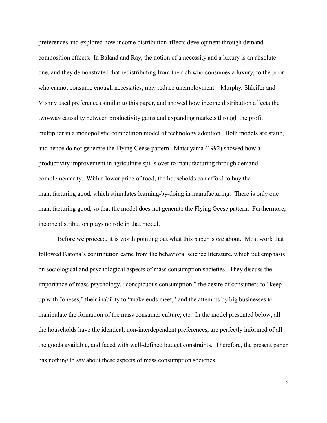preferences and explored how income distribution affects development through demand composition effects. In Baland and Ray, the notion of a necessity and a luxury is an absolute one, and they demonstrated that redistributing from the rich who consumes a luxury, to the poor who cannot consume enough necessities, may reduce unemployment. Murphy, Shleifer and Vishny used preferences similar to this paper, and showed how income distribution affects the two-way causality between productivity gains and expanding markets through the profit multiplier in a monopolistic competition model of technology adoption. Both models are static, and hence do not generate the Flying Geese pattern. Matsuyama (1992) showed how a productivity improvement in agriculture spills over to manufacturing through demand complementarity. With a lower price of food, the households can afford to buy the manufacturing good, which stimulates learning-by-doing in manufacturing. There is only one manufacturing good, so that the model does not generate the Flying Geese pattern. Furthermore, income distribution plays no role in that model.

Before we proceed, it is worth pointing out what this paper is *not* about. Most work that followed Katona's contribution came from the behavioral science literature, which put emphasis on sociological and psychological aspects of mass consumption societies. They discuss the importance of mass-psychology, "conspicuous consumption," the desire of consumers to "keep up with Joneses," their inability to "make ends meet," and the attempts by big businesses to manipulate the formation of the mass consumer culture, etc. In the model presented below, all the households have the identical, non-interdependent preferences, are perfectly informed of all the goods available, and faced with well-defined budget constraints. Therefore, the present paper has nothing to say about these aspects of mass consumption societies.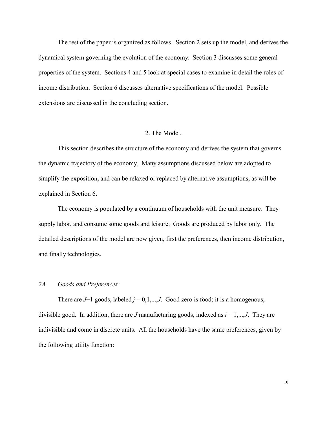The rest of the paper is organized as follows. Section 2 sets up the model, and derives the dynamical system governing the evolution of the economy. Section 3 discusses some general properties of the system. Sections 4 and 5 look at special cases to examine in detail the roles of income distribution. Section 6 discusses alternative specifications of the model. Possible extensions are discussed in the concluding section.

# 2. The Model.

This section describes the structure of the economy and derives the system that governs the dynamic trajectory of the economy. Many assumptions discussed below are adopted to simplify the exposition, and can be relaxed or replaced by alternative assumptions, as will be explained in Section 6.

The economy is populated by a continuum of households with the unit measure*.* They supply labor, and consume some goods and leisure. Goods are produced by labor only. The detailed descriptions of the model are now given, first the preferences, then income distribution, and finally technologies.

### *2A. Goods and Preferences:*

There are  $J+1$  goods, labeled  $j = 0,1,...,J$ . Good zero is food; it is a homogenous, divisible good. In addition, there are *J* manufacturing goods, indexed as  $j = 1,...,J$ . They are indivisible and come in discrete units. All the households have the same preferences, given by the following utility function: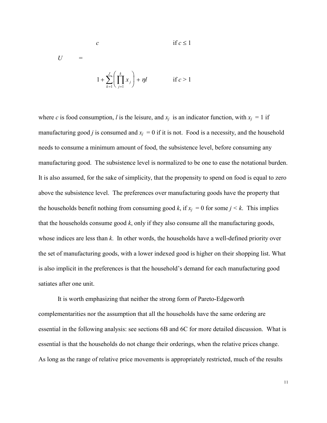$$
U = \frac{c}{\sqrt{\frac{k}{k}}}
$$
if  $c \le 1$ 

$$
1 + \sum_{k=1}^{J} \left( \prod_{j=1}^{k} x_j \right) + \eta l \qquad \text{if } c > 1
$$

where *c* is food consumption, *l* is the leisure, and  $x_i$  is an indicator function, with  $x_i = 1$  if manufacturing good *j* is consumed and  $x_i = 0$  if it is not. Food is a necessity, and the household needs to consume a minimum amount of food, the subsistence level, before consuming any manufacturing good. The subsistence level is normalized to be one to ease the notational burden. It is also assumed, for the sake of simplicity, that the propensity to spend on food is equal to zero above the subsistence level. The preferences over manufacturing goods have the property that the households benefit nothing from consuming good *k*, if  $x_i = 0$  for some  $j \le k$ . This implies that the households consume good *k*, only if they also consume all the manufacturing goods, whose indices are less than *k*. In other words, the households have a well-defined priority over the set of manufacturing goods, with a lower indexed good is higher on their shopping list. What is also implicit in the preferences is that the household's demand for each manufacturing good satiates after one unit.

It is worth emphasizing that neither the strong form of Pareto-Edgeworth complementarities nor the assumption that all the households have the same ordering are essential in the following analysis: see sections 6B and 6C for more detailed discussion. What is essential is that the households do not change their orderings, when the relative prices change. As long as the range of relative price movements is appropriately restricted, much of the results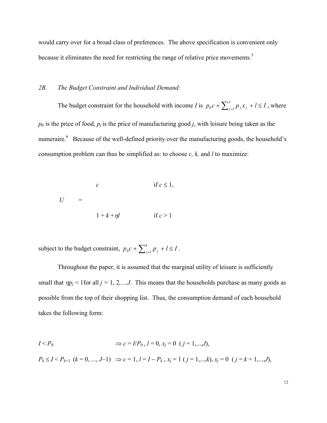would carry over for a broad class of preferences. The above specification is convenient only because it eliminates the need for restricting the range of relative price movements.<sup>5</sup>

#### *2B. The Budget Constraint and Individual Demand:*

The budget constraint for the household with income *I* is  $p_0 c + \sum_{j=1}^{J} p_j x_j + l \leq I$  ${}_{0}c + \sum_{j=1}^{J} p_{j}x_{j} + l \leq I$ , where  $p_0$  is the price of food,  $p_i$  is the price of manufacturing good *j*, with leisure being taken as the numeraire.<sup>6</sup> Because of the well-defined priority over the manufacturing goods, the household's consumption problem can thus be simplified as: to choose *c, k,* and *l* to maximize:

$$
U = \begin{cases} c & \text{if } c \le 1, \\ 1 + k + \eta l & \text{if } c > 1 \end{cases}
$$

subject to the budget constraint,  $p_0 c + \sum_{j=1}^{k} p_j + l \leq l$  $_{0}c + \sum_{j=1}^{k} p_{j} + l \leq I$ .

Throughout the paper, it is assumed that the marginal utility of leisure is sufficiently small that  $\eta p_j < 1$  for all  $j = 1, 2, \dots, J$ . This means that the households purchase as many goods as possible from the top of their shopping list. Thus, the consumption demand of each household takes the following form:

$$
I < P_0
$$
  
\n
$$
\Rightarrow c = I/P_0, l = 0, x_j = 0 \ (j = 1,...,J),
$$
  
\n
$$
P_k \le I < P_{k+1} (k = 0, ..., J-1) \Rightarrow c = 1, l = I - P_k, x_j = 1 (j = 1,...,k), x_j = 0 (j = k+1,...,J),
$$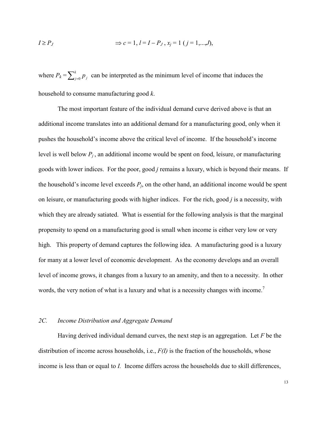$$
I \ge P_J \qquad \Rightarrow c = 1, \, l = I - P_J, \, x_j = 1 \, (j = 1, \dots, J),
$$

where  $P_k = \sum_{j=0}^{k} p_j$  can be interpreted as the minimum level of income that induces the household to consume manufacturing good *k*.

The most important feature of the individual demand curve derived above is that an additional income translates into an additional demand for a manufacturing good, only when it pushes the household's income above the critical level of income. If the household's income level is well below  $P_i$ , an additional income would be spent on food, leisure, or manufacturing goods with lower indices. For the poor, good *j* remains a luxury, which is beyond their means. If the household's income level exceeds  $P_j$ , on the other hand, an additional income would be spent on leisure, or manufacturing goods with higher indices. For the rich, good *j* is a necessity, with which they are already satiated. What is essential for the following analysis is that the marginal propensity to spend on a manufacturing good is small when income is either very low or very high. This property of demand captures the following idea. A manufacturing good is a luxury for many at a lower level of economic development. As the economy develops and an overall level of income grows, it changes from a luxury to an amenity, and then to a necessity. In other words, the very notion of what is a luxury and what is a necessity changes with income.<sup>7</sup>

## *2C. Income Distribution and Aggregate Demand*

Having derived individual demand curves, the next step is an aggregation. Let *F* be the distribution of income across households, i.e.,  $F(I)$  is the fraction of the households, whose income is less than or equal to *I.* Income differs across the households due to skill differences,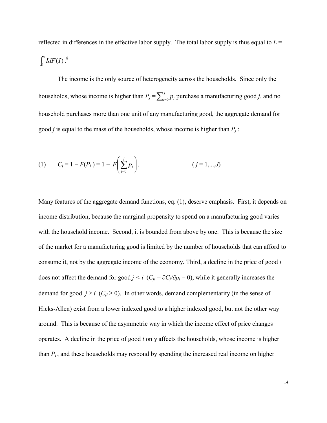reflected in differences in the effective labor supply. The total labor supply is thus equal to  $L =$  $\int_{0}^{\infty}$  $\int_0^\infty I dF(I) \cdot \frac{8}{\pi}$ 

The income is the only source of heterogeneity across the households. Since only the households, whose income is higher than  $P_j = \sum_{i=0}^{j} p_i$  purchase a manufacturing good *j*, and no household purchases more than one unit of any manufacturing good, the aggregate demand for good *j* is equal to the mass of the households, whose income is higher than *Pj* :

(1) 
$$
C_j = 1 - F(P_j) = 1 - F\left(\sum_{i=0}^{j} p_i\right)
$$
.  $(j = 1,...,J)$ 

Many features of the aggregate demand functions, eq. (1), deserve emphasis. First, it depends on income distribution, because the marginal propensity to spend on a manufacturing good varies with the household income. Second, it is bounded from above by one. This is because the size of the market for a manufacturing good is limited by the number of households that can afford to consume it, not by the aggregate income of the economy. Third, a decline in the price of good *i* does not affect the demand for good  $j < i$  ( $C_{ji} = \partial C_j/\partial p_i = 0$ ), while it generally increases the demand for good  $j \ge i$  ( $C_{ii} \ge 0$ ). In other words, demand complementarity (in the sense of Hicks-Allen) exist from a lower indexed good to a higher indexed good, but not the other way around. This is because of the asymmetric way in which the income effect of price changes operates. A decline in the price of good *i* only affects the households, whose income is higher than  $P_i$ , and these households may respond by spending the increased real income on higher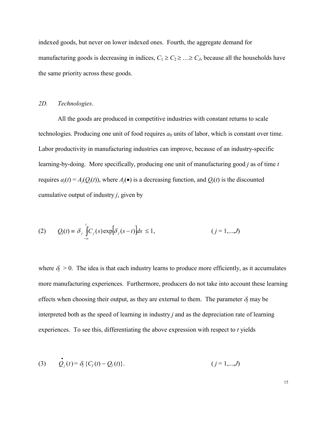indexed goods, but never on lower indexed ones. Fourth, the aggregate demand for manufacturing goods is decreasing in indices,  $C_1 \geq C_2 \geq \ldots \geq C_J$ , because all the households have the same priority across these goods.

## *2D. Technologies*.

.

All the goods are produced in competitive industries with constant returns to scale technologies. Producing one unit of food requires  $a_0$  units of labor, which is constant over time. Labor productivity in manufacturing industries can improve, because of an industry-specific learning-by-doing. More specifically, producing one unit of manufacturing good *j* as of time *t* requires  $a_j(t) = A_j(Q_j(t))$ , where  $A_j(\bullet)$  is a decreasing function, and  $Q_j(t)$  is the discounted cumulative output of industry *j*, given by

(2) 
$$
Q_j(t) = \delta_j \int_{-\infty}^{t} C_j(s) \exp[\delta_j(s-t)]ds \le 1,
$$
   
  $(j = 1,...,J)$ 

where  $\delta_j > 0$ . The idea is that each industry learns to produce more efficiently, as it accumulates more manufacturing experiences. Furthermore, producers do not take into account these learning effects when choosing their output, as they are external to them. The parameter  $\delta_j$  may be interpreted both as the speed of learning in industry *j* and as the depreciation rate of learning experiences. To see this, differentiating the above expression with respect to *t* yields

(3) 
$$
Q_j(t) = \delta_j \{C_j(t) - Q_j(t)\}.
$$
  $(j = 1,...,J)$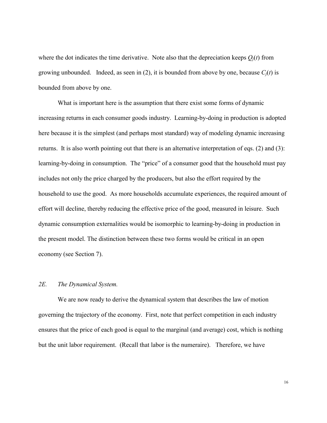where the dot indicates the time derivative. Note also that the depreciation keeps  $O_i(t)$  from growing unbounded. Indeed, as seen in (2), it is bounded from above by one, because  $C_i(t)$  is bounded from above by one.

What is important here is the assumption that there exist some forms of dynamic increasing returns in each consumer goods industry. Learning-by-doing in production is adopted here because it is the simplest (and perhaps most standard) way of modeling dynamic increasing returns. It is also worth pointing out that there is an alternative interpretation of eqs. (2) and (3): learning-by-doing in consumption. The "price" of a consumer good that the household must pay includes not only the price charged by the producers, but also the effort required by the household to use the good. As more households accumulate experiences, the required amount of effort will decline, thereby reducing the effective price of the good, measured in leisure. Such dynamic consumption externalities would be isomorphic to learning-by-doing in production in the present model. The distinction between these two forms would be critical in an open economy (see Section 7).

# *2E. The Dynamical System.*

We are now ready to derive the dynamical system that describes the law of motion governing the trajectory of the economy. First, note that perfect competition in each industry ensures that the price of each good is equal to the marginal (and average) cost, which is nothing but the unit labor requirement. (Recall that labor is the numeraire). Therefore, we have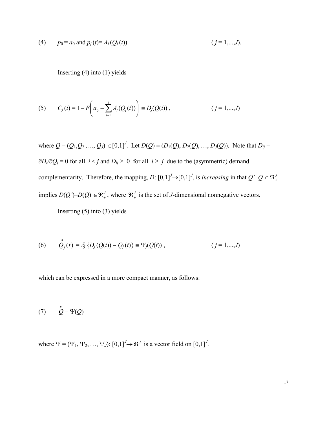(4) 
$$
p_0 = a_0
$$
 and  $p_j(t) = A_j(Q_j(t))$   $(j = 1,...,J)$ .

Inserting (4) into (1) yields

(5) 
$$
C_j(t) = 1 - F\left(a_0 + \sum_{i=1}^j A_i(Q_i(t))\right) \equiv D_j(Q(t)), \qquad (j = 1,...,J)
$$

where  $Q = (Q_1, Q_2, ..., Q_J) \in [0,1]^J$ . Let  $D(Q) \equiv (D_1(Q), D_2(Q), ..., D_J(Q))$ . Note that  $D_{ij} =$  $\partial D_i/\partial Q_j = 0$  for all  $i < j$  and  $D_{ij} \ge 0$  for all  $i \ge j$  due to the (asymmetric) demand complementarity. Therefore, the mapping, *D*:  $[0,1]^J \rightarrow [0,1]^J$ , is *increasing* in that  $Q' - Q \in \mathbb{R}^J$ . implies  $D(Q')$ – $D(Q) \in \mathbb{R}^J_+$ , where  $\mathbb{R}^J_+$  is the set of *J*-dimensional nonnegative vectors. Inserting  $(5)$  into  $(3)$  yields

(6) 
$$
Q_j(t) = \delta_j \{D_j(Q(t)) - Q_j(t)\} \equiv \Psi_j(Q(t)),
$$
   
  $(j = 1,...,J)$ 

which can be expressed in a more compact manner, as follows:

$$
(7) \qquad \dot{Q} = \Psi(Q)
$$

 $\bullet$ 

where  $\Psi = (\Psi_1, \Psi_2, \dots, \Psi_J)$ :  $[0,1]^J \rightarrow \mathbb{R}^J$  is a vector field on  $[0,1]^J$ .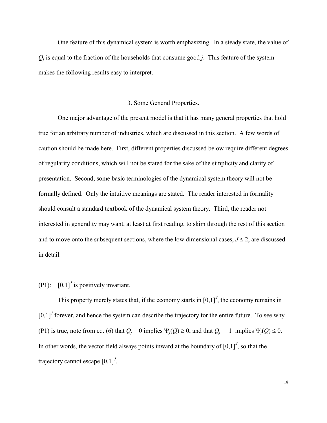One feature of this dynamical system is worth emphasizing. In a steady state, the value of  $Q_i$  is equal to the fraction of the households that consume good *j*. This feature of the system makes the following results easy to interpret.

#### 3. Some General Properties.

One major advantage of the present model is that it has many general properties that hold true for an arbitrary number of industries, which are discussed in this section. A few words of caution should be made here. First, different properties discussed below require different degrees of regularity conditions, which will not be stated for the sake of the simplicity and clarity of presentation. Second, some basic terminologies of the dynamical system theory will not be formally defined. Only the intuitive meanings are stated. The reader interested in formality should consult a standard textbook of the dynamical system theory. Third, the reader not interested in generality may want, at least at first reading, to skim through the rest of this section and to move onto the subsequent sections, where the low dimensional cases,  $J \le 2$ , are discussed in detail.

(P1):  $\left[0,1\right]^J$  is positively invariant.

This property merely states that, if the economy starts in  $[0,1]$ <sup> $J$ </sup>, the economy remains in  $[0,1]$ <sup>*J*</sup> forever, and hence the system can describe the trajectory for the entire future. To see why (P1) is true, note from eq. (6) that  $Q_j = 0$  implies  $\Psi_j(Q) \ge 0$ , and that  $Q_j = 1$  implies  $\Psi_j(Q) \le 0$ . In other words, the vector field always points inward at the boundary of  $[0,1]^J$ , so that the trajectory cannot escape [0,1]*<sup>J</sup>* .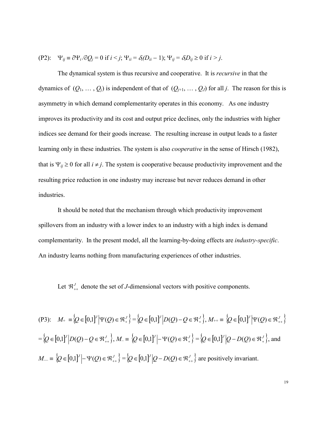(P2): 
$$
\Psi_{ij} \equiv \partial \Psi_i / \partial Q_j = 0
$$
 if  $i < j$ ;  $\Psi_{ii} = \delta_i (D_{ii} - 1)$ ;  $\Psi_{ij} = \delta_i D_{ij} \ge 0$  if  $i > j$ .

The dynamical system is thus recursive and cooperative. It is *recursive* in that the dynamics of  $(Q_1, \ldots, Q_j)$  is independent of that of  $(Q_{j+1}, \ldots, Q_j)$  for all *j*. The reason for this is asymmetry in which demand complementarity operates in this economy. As one industry improves its productivity and its cost and output price declines, only the industries with higher indices see demand for their goods increase. The resulting increase in output leads to a faster learning only in these industries. The system is also *cooperative* in the sense of Hirsch (1982), that is  $\Psi_{ij} \ge 0$  for all  $i \ne j$ . The system is cooperative because productivity improvement and the resulting price reduction in one industry may increase but never reduces demand in other industries.

It should be noted that the mechanism through which productivity improvement spillovers from an industry with a lower index to an industry with a high index is demand complementarity. In the present model, all the learning-by-doing effects are *industry-specific*. An industry learns nothing from manufacturing experiences of other industries.

Let  $\mathfrak{R}_{++}^J$  denote the set of *J*-dimensional vectors with positive components.

$$
(P3): \quad M_{+} = \{Q \in [0,1]^{V} | \Psi(Q) \in \mathfrak{R}_{+}^{J}\} = \{Q \in [0,1]^{V} | D(Q) - Q \in \mathfrak{R}_{+}^{J}\}, M_{++} = \{Q \in [0,1]^{V} | \Psi(Q) \in \mathfrak{R}_{++}^{J}\}
$$
\n
$$
= \{Q \in [0,1]^{V} | D(Q) - Q \in \mathfrak{R}_{++}^{J}\}, M_{-} = \{Q \in [0,1]^{V} | - \Psi(Q) \in \mathfrak{R}_{+}^{J}\} = \{Q \in [0,1]^{V} | Q - D(Q) \in \mathfrak{R}_{+}^{J}\}, \text{and}
$$
\n
$$
M_{-} = \{Q \in [0,1]^{V} | - \Psi(Q) \in \mathfrak{R}_{++}^{J}\} = \{Q \in [0,1]^{V} | Q - D(Q) \in \mathfrak{R}_{++}^{J}\} \text{ are positively invariant.}
$$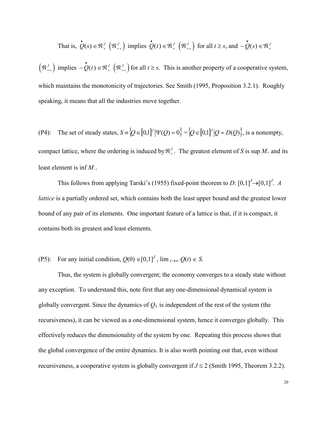That is, 
$$
\dot{Q}(s) \in \mathbb{R}_+^J \left( \mathbb{R}_{++}^J \right)
$$
 implies  $\dot{Q}(t) \in \mathbb{R}_+^J \left( \mathbb{R}_{++}^J \right)$  for all  $t \geq s$ , and  $-\dot{Q}(s) \in \mathbb{R}_+^J$ 

 $\left(\mathbb{R}_{++}^J\right)$  implies  $-\mathbf{Q}(t) \in \mathbb{R}_+^J$   $\left(\mathbb{R}_{++}^J\right)$  for all  $t \geq s$ . This is another property of a cooperative system, which maintains the monotonicity of trajectories. See Smith (1995, Proposition 3.2.1). Roughly speaking, it means that all the industries move together.

(P4): The set of steady states, 
$$
S = \{Q \in [0,1]^J | \Psi(Q) = 0\} = \{Q \in [0,1]^J | Q = D(Q)\}
$$
, is a nonempty,  
compact lattice, where the ordering is induced by  $\mathfrak{R}^J_+$ . The greatest element of S is sup  $M_+$  and its  
least element is inf  $M_-$ .

This follows from applying Tarski's (1955) fixed-point theorem to *D*:  $[0,1]^J \rightarrow [0,1]^J$ . *A lattice* is a partially ordered set, which contains both the least upper bound and the greatest lower bound of any pair of its elements. One important feature of a lattice is that, if it is compact, it contains both its greatest and least elements.

# (P5): For any initial condition,  $Q(0) \in [0,1]^J$ ,  $\lim_{t \to \infty} Q(t) \in S$ .

Thus, the system is globally convergent; the economy converges to a steady state without any exception. To understand this, note first that any one-dimensional dynamical system is globally convergent. Since the dynamics of  $Q_1$  is independent of the rest of the system (the recursiveness), it can be viewed as a one-dimensional system, hence it converges globally. This effectively reduces the dimensionality of the system by one. Repeating this process shows that the global convergence of the entire dynamics. It is also worth pointing out that, even without recursiveness, a cooperative system is globally convergent if  $J \le 2$  (Smith 1995, Theorem 3.2.2).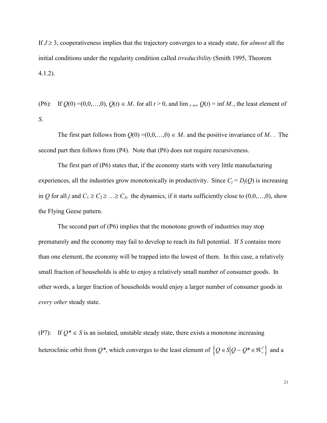If  $J \geq 3$ , cooperativeness implies that the trajectory converges to a steady state, for *almost* all the initial conditions under the regularity condition called *irreducibility* (Smith 1995, Theorem 4.1.2).

(P6): If  $Q(0) = (0,0,...,0), Q(t) \in M_+$  for all  $t > 0$ , and  $\lim_{t \to \infty} Q(t) = \inf M_+$ , the least element of *S*.

The first part follows from  $Q(0) = (0,0,...,0) \in M_+$  and the positive invariance of  $M_+$ . The second part then follows from (P4). Note that (P6) does not require recursiveness.

The first part of (P6) states that, if the economy starts with very little manufacturing experiences, all the industries grow monotonically in productivity. Since  $C_i = D_i(Q)$  is increasing in *Q* for all *j* and  $C_1 \ge C_2 \ge \ldots \ge C_J$ , the dynamics, if it starts sufficiently close to (0,0,...,0), show the Flying Geese pattern.

The second part of (P6) implies that the monotone growth of industries may stop prematurely and the economy may fail to develop to reach its full potential. If *S* contains more than one element, the economy will be trapped into the lowest of them. In this case, a relatively small fraction of households is able to enjoy a relatively small number of consumer goods. In other words, a larger fraction of households would enjoy a larger number of consumer goods in *every other* steady state.

(P7): If  $O^* \in S$  is an isolated, unstable steady state, there exists a monotone increasing heteroclinic orbit from  $Q^*$ , which converges to the least element of  $\{Q \in S | Q - Q^* \in \mathbb{R}^J_{\perp} \}$  and a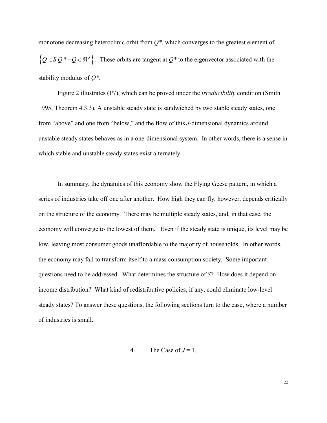monotone decreasing heteroclinic orbit from *Q\**, which converges to the greatest element of  $\{Q \in S | Q^* - Q \in \mathbb{R}^J_{\perp} \}$ . These orbits are tangent at  $Q^*$  to the eigenvector associated with the stability modulus of *Q\**.

Figure 2 illustrates (P7), which can be proved under the *irreducibility* condition (Smith 1995, Theorem 4.3.3). A unstable steady state is sandwiched by two stable steady states, one from "above" and one from "below," and the flow of this *J*-dimensional dynamics around unstable steady states behaves as in a one-dimensional system. In other words, there is a sense in which stable and unstable steady states exist alternately.

In summary, the dynamics of this economy show the Flying Geese pattern, in which a series of industries take off one after another. How high they can fly, however, depends critically on the structure of the economy. There may be multiple steady states, and, in that case, the economy will converge to the lowest of them. Even if the steady state is unique, its level may be low, leaving most consumer goods unaffordable to the majority of households. In other words, the economy may fail to transform itself to a mass consumption society. Some important questions need to be addressed. What determines the structure of *S*? How does it depend on income distribution? What kind of redistributive policies, if any, could eliminate low-level steady states? To answer these questions, the following sections turn to the case, where a number of industries is small.

4. The Case of  $J = 1$ .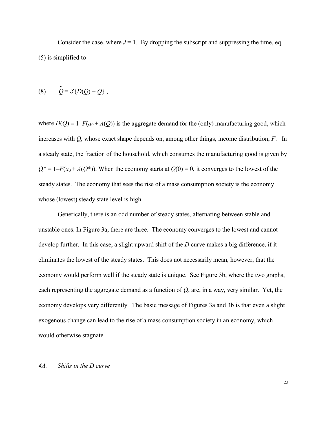Consider the case, where  $J = 1$ . By dropping the subscript and suppressing the time, eq. (5) is simplified to

$$
(8) \qquad \dot{Q} = \delta \{ D(Q) - Q \} ,
$$

where  $D(Q) = 1 - F(a_0 + A(Q))$  is the aggregate demand for the (only) manufacturing good, which increases with *Q*, whose exact shape depends on, among other things, income distribution, *F*. In a steady state, the fraction of the household, which consumes the manufacturing good is given by  $Q^* = 1 - F(a_0 + A(Q^*))$ . When the economy starts at  $Q(0) = 0$ , it converges to the lowest of the steady states. The economy that sees the rise of a mass consumption society is the economy whose (lowest) steady state level is high.

Generically, there is an odd number of steady states, alternating between stable and unstable ones. In Figure 3a, there are three. The economy converges to the lowest and cannot develop further. In this case, a slight upward shift of the *D* curve makes a big difference, if it eliminates the lowest of the steady states. This does not necessarily mean, however, that the economy would perform well if the steady state is unique. See Figure 3b, where the two graphs, each representing the aggregate demand as a function of *Q*, are, in a way, very similar. Yet, the economy develops very differently. The basic message of Figures 3a and 3b is that even a slight exogenous change can lead to the rise of a mass consumption society in an economy, which would otherwise stagnate.

#### *4A. Shifts in the D curve*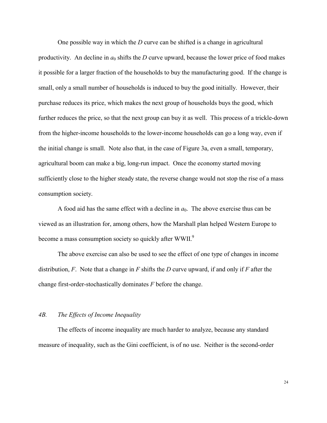One possible way in which the *D* curve can be shifted is a change in agricultural productivity. An decline in  $a_0$  shifts the *D* curve upward, because the lower price of food makes it possible for a larger fraction of the households to buy the manufacturing good. If the change is small, only a small number of households is induced to buy the good initially. However, their purchase reduces its price, which makes the next group of households buys the good, which further reduces the price, so that the next group can buy it as well. This process of a trickle-down from the higher-income households to the lower-income households can go a long way, even if the initial change is small. Note also that, in the case of Figure 3a, even a small, temporary, agricultural boom can make a big, long-run impact. Once the economy started moving sufficiently close to the higher steady state, the reverse change would not stop the rise of a mass consumption society.

A food aid has the same effect with a decline in  $a_0$ . The above exercise thus can be viewed as an illustration for, among others, how the Marshall plan helped Western Europe to become a mass consumption society so quickly after WWII.<sup>9</sup>

The above exercise can also be used to see the effect of one type of changes in income distribution, *F*. Note that a change in *F* shifts the *D* curve upward, if and only if *F* after the change first-order-stochastically dominates *F* before the change.

# *4B. The Effects of Income Inequality*

The effects of income inequality are much harder to analyze, because any standard measure of inequality, such as the Gini coefficient, is of no use. Neither is the second-order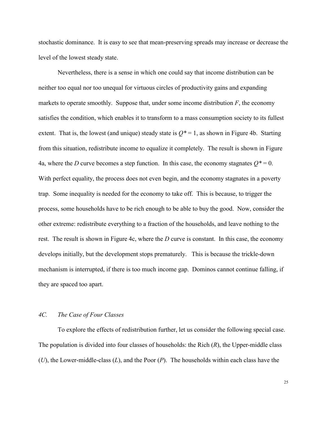stochastic dominance. It is easy to see that mean-preserving spreads may increase or decrease the level of the lowest steady state.

Nevertheless, there is a sense in which one could say that income distribution can be neither too equal nor too unequal for virtuous circles of productivity gains and expanding markets to operate smoothly. Suppose that, under some income distribution  $F$ , the economy satisfies the condition, which enables it to transform to a mass consumption society to its fullest extent. That is, the lowest (and unique) steady state is  $Q^* = 1$ , as shown in Figure 4b. Starting from this situation, redistribute income to equalize it completely. The result is shown in Figure 4a, where the *D* curve becomes a step function. In this case, the economy stagnates  $Q^* = 0$ . With perfect equality, the process does not even begin, and the economy stagnates in a poverty trap. Some inequality is needed for the economy to take off. This is because, to trigger the process, some households have to be rich enough to be able to buy the good. Now, consider the other extreme: redistribute everything to a fraction of the households, and leave nothing to the rest. The result is shown in Figure 4c, where the *D* curve is constant. In this case, the economy develops initially, but the development stops prematurely. This is because the trickle-down mechanism is interrupted, if there is too much income gap. Dominos cannot continue falling, if they are spaced too apart.

# *4C. The Case of Four Classes*

To explore the effects of redistribution further, let us consider the following special case. The population is divided into four classes of households: the Rich (*R*), the Upper-middle class (*U*), the Lower-middle-class (*L*), and the Poor (*P*). The households within each class have the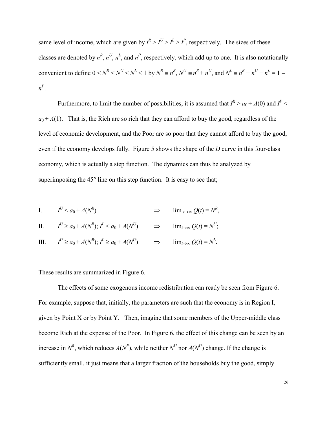same level of income, which are given by  $I^R > I^U > I^L > I^P$ , respectively. The sizes of these classes are denoted by  $n^R$ ,  $n^U$ ,  $n^L$ , and  $n^P$ , respectively, which add up to one. It is also notationally convenient to define  $0 \lt N^R \lt N^U \lt N^L \lt 1$  by  $N^R \equiv n^R$ ,  $N^U \equiv n^R + n^U$ , and  $N^L \equiv n^R + n^U + n^L = 1$ *n P* .

Furthermore, to limit the number of possibilities, it is assumed that  $I^R > a_0 + A(0)$  and  $I^P$  $a_0 + A(1)$ . That is, the Rich are so rich that they can afford to buy the good, regardless of the level of economic development, and the Poor are so poor that they cannot afford to buy the good, even if the economy develops fully. Figure 5 shows the shape of the *D* curve in this four-class economy, which is actually a step function. The dynamics can thus be analyzed by superimposing the  $45^{\circ}$  line on this step function. It is easy to see that;

I. 
$$
I^U < a_0 + A(N^R)
$$
  $\Rightarrow$   $\lim_{t \to \infty} Q(t) = N^R$ ,

II. 
$$
I^U \ge a_0 + A(N^R); I^L < a_0 + A(N^U)
$$
  $\Rightarrow$   $\lim_{t \to \infty} Q(t) = N^U;$ 

III. 
$$
I^U \ge a_0 + A(N^R); I^L \ge a_0 + A(N^U) \Rightarrow \lim_{t \to \infty} Q(t) = N^L
$$

These results are summarized in Figure 6.

The effects of some exogenous income redistribution can ready be seen from Figure 6. For example, suppose that, initially, the parameters are such that the economy is in Region I, given by Point X or by Point Y. Then, imagine that some members of the Upper-middle class become Rich at the expense of the Poor. In Figure 6, the effect of this change can be seen by an increase in  $N^R$ , which reduces  $A(N^R)$ , while neither  $N^U$  nor  $A(N^U)$  change. If the change is sufficiently small, it just means that a larger fraction of the households buy the good, simply

.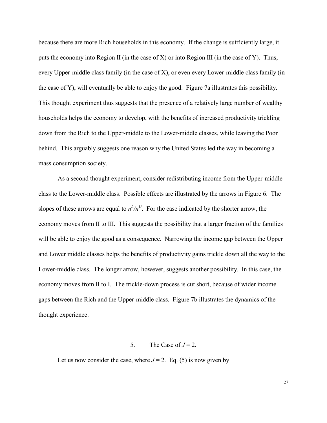because there are more Rich households in this economy. If the change is sufficiently large, it puts the economy into Region II (in the case of X) or into Region III (in the case of Y). Thus, every Upper-middle class family (in the case of X), or even every Lower-middle class family (in the case of Y), will eventually be able to enjoy the good. Figure 7a illustrates this possibility. This thought experiment thus suggests that the presence of a relatively large number of wealthy households helps the economy to develop, with the benefits of increased productivity trickling down from the Rich to the Upper-middle to the Lower-middle classes, while leaving the Poor behind. This arguably suggests one reason why the United States led the way in becoming a mass consumption society.

As a second thought experiment, consider redistributing income from the Upper-middle class to the Lower-middle class. Possible effects are illustrated by the arrows in Figure 6. The slopes of these arrows are equal to  $n^L/n^U$ . For the case indicated by the shorter arrow, the economy moves from II to III. This suggests the possibility that a larger fraction of the families will be able to enjoy the good as a consequence. Narrowing the income gap between the Upper and Lower middle classes helps the benefits of productivity gains trickle down all the way to the Lower-middle class. The longer arrow, however, suggests another possibility. In this case, the economy moves from II to I. The trickle-down process is cut short, because of wider income gaps between the Rich and the Upper-middle class. Figure 7b illustrates the dynamics of the thought experience.

### 5. The Case of  $J = 2$ .

Let us now consider the case, where  $J = 2$ . Eq. (5) is now given by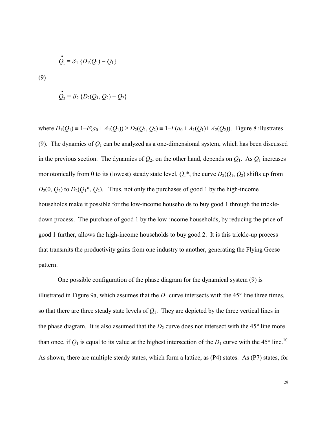$$
\dot{Q}_1 = \delta_1 \left\{ D_1(Q_1) - Q_1 \right\}
$$

(9)

$$
\dot{Q}_2 = \delta_2 \{ D_2(Q_1, Q_2) - Q_2 \}
$$

where  $D_1(Q_1) = 1 - F(a_0 + A_1(Q_1)) \ge D_2(Q_1, Q_2) = 1 - F(a_0 + A_1(Q_1) + A_2(Q_2))$ . Figure 8 illustrates (9). The dynamics of  $Q_1$  can be analyzed as a one-dimensional system, which has been discussed in the previous section. The dynamics of  $Q_2$ , on the other hand, depends on  $Q_1$ . As  $Q_1$  increases monotonically from 0 to its (lowest) steady state level,  $Q_1^*$ , the curve  $D_2(Q_1, Q_2)$  shifts up from  $D_2(0, Q_2)$  to  $D_2(Q_1^*, Q_2)$ . Thus, not only the purchases of good 1 by the high-income households make it possible for the low-income households to buy good 1 through the trickledown process. The purchase of good 1 by the low-income households, by reducing the price of good 1 further, allows the high-income households to buy good 2. It is this trickle-up process that transmits the productivity gains from one industry to another, generating the Flying Geese pattern.

One possible configuration of the phase diagram for the dynamical system (9) is illustrated in Figure 9a, which assumes that the  $D_1$  curve intersects with the 45 $\degree$  line three times, so that there are three steady state levels of  $Q_1$ . They are depicted by the three vertical lines in the phase diagram. It is also assumed that the  $D_2$  curve does not intersect with the 45 $\degree$  line more than once, if  $Q_1$  is equal to its value at the highest intersection of the  $D_1$  curve with the 45° line.<sup>10</sup> As shown, there are multiple steady states, which form a lattice, as (P4) states. As (P7) states, for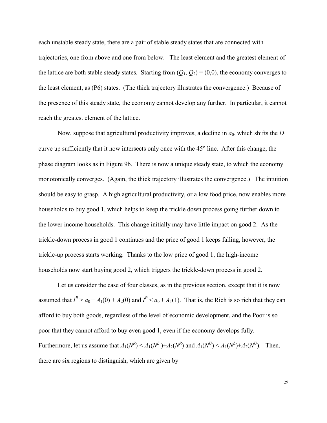each unstable steady state, there are a pair of stable steady states that are connected with trajectories, one from above and one from below. The least element and the greatest element of the lattice are both stable steady states. Starting from  $(Q_1, Q_2) = (0,0)$ , the economy converges to the least element, as (P6) states. (The thick trajectory illustrates the convergence.) Because of the presence of this steady state, the economy cannot develop any further. In particular, it cannot reach the greatest element of the lattice.

Now, suppose that agricultural productivity improves, a decline in  $a_0$ , which shifts the  $D_1$ curve up sufficiently that it now intersects only once with the 45<sup>o</sup> line. After this change, the phase diagram looks as in Figure 9b. There is now a unique steady state, to which the economy monotonically converges. (Again, the thick trajectory illustrates the convergence.) The intuition should be easy to grasp. A high agricultural productivity, or a low food price, now enables more households to buy good 1, which helps to keep the trickle down process going further down to the lower income households. This change initially may have little impact on good 2. As the trickle-down process in good 1 continues and the price of good 1 keeps falling, however, the trickle-up process starts working. Thanks to the low price of good 1, the high-income households now start buying good 2, which triggers the trickle-down process in good 2.

Let us consider the case of four classes, as in the previous section, except that it is now assumed that  $I^R > a_0 + A_1(0) + A_2(0)$  and  $I^P < a_0 + A_1(1)$ . That is, the Rich is so rich that they can afford to buy both goods, regardless of the level of economic development, and the Poor is so poor that they cannot afford to buy even good 1, even if the economy develops fully. Furthermore, let us assume that  $A_1(N^R) \le A_1(N^L) + A_2(N^R)$  and  $A_1(N^U) \le A_1(N^L) + A_2(N^U)$ . Then, there are six regions to distinguish, which are given by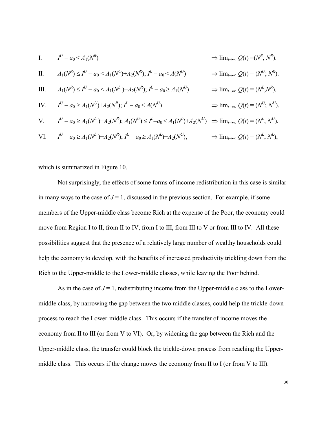I. 
$$
I^U - a_0 < A_1(N^R)
$$
  
\n $\Rightarrow \lim_{t \to \infty} Q(t) = (N^R, N^R).$   
\nII.  $A_1(N^R) \le I^U - a_0 < A_1(N^U) + A_2(N^R); I^L - a_0 < A(N^U)$   
\n $\Rightarrow \lim_{t \to \infty} Q(t) = (N^U, N^R).$   
\nIII.  $A_1(N^R) \le I^U - a_0 < A_1(N^L) + A_2(N^R); I^L - a_0 \ge A_1(N^U)$   
\n $\Rightarrow \lim_{t \to \infty} Q(t) = (N^L, N^R).$   
\nIV.  $I^U - a_0 \ge A_1(N^U) + A_2(N^R); I^L - a_0 < A(N^U)$   
\n $\Rightarrow \lim_{t \to \infty} Q(t) = (N^U, N^U).$   
\nV.  $I^U - a_0 \ge A_1(N^L) + A_2(N^R); A_1(N^U) \le I^L - a_0 < A_1(N^L) + A_2(N^U)$   
\n $\Rightarrow \lim_{t \to \infty} Q(t) = (N^L, N^U).$   
\nVI.  $I^U - a_0 \ge A_1(N^L) + A_2(N^R); I^L - a_0 \ge A_1(N^L) + A_2(N^U), \Rightarrow \lim_{t \to \infty} Q(t) = (N^L, N^L),$ 

which is summarized in Figure 10.

Not surprisingly, the effects of some forms of income redistribution in this case is similar in many ways to the case of  $J = 1$ , discussed in the previous section. For example, if some members of the Upper-middle class become Rich at the expense of the Poor, the economy could move from Region I to II, from II to IV, from I to III, from III to V or from III to IV. All these possibilities suggest that the presence of a relatively large number of wealthy households could help the economy to develop, with the benefits of increased productivity trickling down from the Rich to the Upper-middle to the Lower-middle classes, while leaving the Poor behind.

As in the case of  $J = 1$ , redistributing income from the Upper-middle class to the Lowermiddle class, by narrowing the gap between the two middle classes, could help the trickle-down process to reach the Lower-middle class. This occurs if the transfer of income moves the economy from II to III (or from V to VI). Or, by widening the gap between the Rich and the Upper-middle class, the transfer could block the trickle-down process from reaching the Uppermiddle class. This occurs if the change moves the economy from II to I (or from V to III).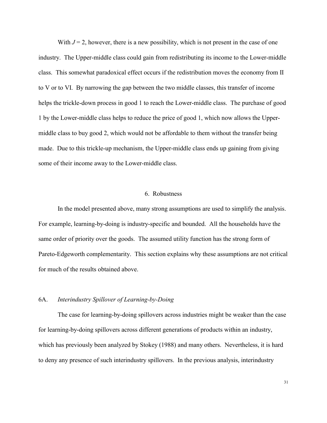With  $J = 2$ , however, there is a new possibility, which is not present in the case of one industry. The Upper-middle class could gain from redistributing its income to the Lower-middle class. This somewhat paradoxical effect occurs if the redistribution moves the economy from II to V or to VI. By narrowing the gap between the two middle classes, this transfer of income helps the trickle-down process in good 1 to reach the Lower-middle class. The purchase of good 1 by the Lower-middle class helps to reduce the price of good 1, which now allows the Uppermiddle class to buy good 2, which would not be affordable to them without the transfer being made. Due to this trickle-up mechanism, the Upper-middle class ends up gaining from giving some of their income away to the Lower-middle class.

# 6. Robustness

In the model presented above, many strong assumptions are used to simplify the analysis. For example, learning-by-doing is industry-specific and bounded. All the households have the same order of priority over the goods. The assumed utility function has the strong form of Pareto-Edgeworth complementarity. This section explains why these assumptions are not critical for much of the results obtained above.

# 6A. *Interindustry Spillover of Learning-by-Doing*

The case for learning-by-doing spillovers across industries might be weaker than the case for learning-by-doing spillovers across different generations of products within an industry, which has previously been analyzed by Stokey (1988) and many others. Nevertheless, it is hard to deny any presence of such interindustry spillovers. In the previous analysis, interindustry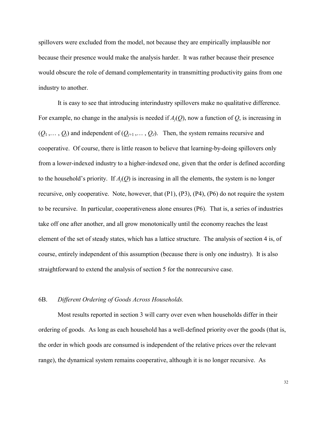spillovers were excluded from the model, not because they are empirically implausible nor because their presence would make the analysis harder. It was rather because their presence would obscure the role of demand complementarity in transmitting productivity gains from one industry to another.

It is easy to see that introducing interindustry spillovers make no qualitative difference. For example, no change in the analysis is needed if  $A_i(O)$ , now a function of  $O$ , is increasing in  $(Q_1, \ldots, Q_i)$  and independent of  $(Q_{i+1}, \ldots, Q_i)$ . Then, the system remains recursive and cooperative. Of course, there is little reason to believe that learning-by-doing spillovers only from a lower-indexed industry to a higher-indexed one, given that the order is defined according to the household's priority. If  $A_i(Q)$  is increasing in all the elements, the system is no longer recursive, only cooperative. Note, however, that (P1), (P3), (P4), (P6) do not require the system to be recursive. In particular, cooperativeness alone ensures (P6). That is, a series of industries take off one after another, and all grow monotonically until the economy reaches the least element of the set of steady states, which has a lattice structure. The analysis of section 4 is, of course, entirely independent of this assumption (because there is only one industry). It is also straightforward to extend the analysis of section 5 for the nonrecursive case.

### 6B. *Different Ordering of Goods Across Households.*

Most results reported in section 3 will carry over even when households differ in their ordering of goods. As long as each household has a well-defined priority over the goods (that is, the order in which goods are consumed is independent of the relative prices over the relevant range), the dynamical system remains cooperative, although it is no longer recursive. As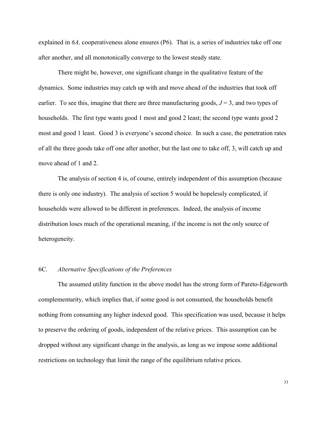explained in *6A,* cooperativeness alone ensures (P6). That is, a series of industries take off one after another, and all monotonically converge to the lowest steady state.

There might be, however, one significant change in the qualitative feature of the dynamics. Some industries may catch up with and move ahead of the industries that took off earlier. To see this, imagine that there are three manufacturing goods,  $J = 3$ , and two types of households. The first type wants good 1 most and good 2 least; the second type wants good 2 most and good 1 least. Good 3 is everyone's second choice. In such a case, the penetration rates of all the three goods take off one after another, but the last one to take off, 3, will catch up and move ahead of 1 and 2.

The analysis of section 4 is, of course, entirely independent of this assumption (because there is only one industry). The analysis of section 5 would be hopelessly complicated, if households were allowed to be different in preferences. Indeed, the analysis of income distribution loses much of the operational meaning, if the income is not the only source of heterogeneity.

#### 6C. *Alternative Specifications of the Preferences*

The assumed utility function in the above model has the strong form of Pareto-Edgeworth complementarity, which implies that, if some good is not consumed, the households benefit nothing from consuming any higher indexed good. This specification was used, because it helps to preserve the ordering of goods, independent of the relative prices. This assumption can be dropped without any significant change in the analysis, as long as we impose some additional restrictions on technology that limit the range of the equilibrium relative prices.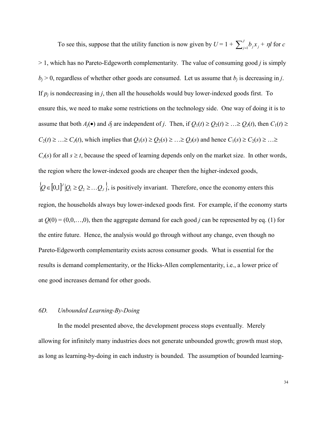To see this, suppose that the utility function is now given by  $U = 1 + \sum_{j=1}^{J} b_j x_j + \eta l$  for *c* > 1, which has no Pareto-Edgeworth complementarity. The value of consuming good *j* is simply  $b_i > 0$ , regardless of whether other goods are consumed. Let us assume that  $b_i$  is decreasing in *j*. If  $p_i$  is nondecreasing in *j*, then all the households would buy lower-indexed goods first. To ensure this, we need to make some restrictions on the technology side. One way of doing it is to assume that both  $A_i(\bullet)$  and  $\delta_i$  are independent of *j*. Then, if  $Q_1(t) \geq Q_2(t) \geq ... \geq Q_J(t)$ , then  $C_1(t) \geq$  $C_2(t) \geq ... \geq C_J(t)$ , which implies that  $Q_1(s) \geq Q_2(s) \geq ... \geq Q_J(s)$  and hence  $C_1(s) \geq C_2(s) \geq ... \geq C_J(t)$  $C_J(s)$  for all  $s \ge t$ , because the speed of learning depends only on the market size. In other words, the region where the lower-indexed goods are cheaper then the higher-indexed goods,  $\{Q \in [0,1]^U | Q_1 \geq Q_2 \geq \ldots Q_J\}$ , is positively invariant. Therefore, once the economy enters this

region, the households always buy lower-indexed goods first. For example, if the economy starts at  $O(0) = (0,0,...,0)$ , then the aggregate demand for each good *j* can be represented by eq. (1) for the entire future. Hence, the analysis would go through without any change, even though no Pareto-Edgeworth complementarity exists across consumer goods. What is essential for the results is demand complementarity, or the Hicks-Allen complementarity, i.e., a lower price of one good increases demand for other goods.

#### *6D. Unbounded Learning-By-Doing*

In the model presented above, the development process stops eventually. Merely allowing for infinitely many industries does not generate unbounded growth; growth must stop, as long as learning-by-doing in each industry is bounded. The assumption of bounded learning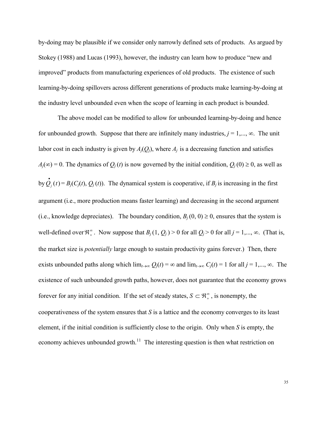by-doing may be plausible if we consider only narrowly defined sets of products. As argued by Stokey (1988) and Lucas (1993), however, the industry can learn how to produce "new and improved" products from manufacturing experiences of old products. The existence of such learning-by-doing spillovers across different generations of products make learning-by-doing at the industry level unbounded even when the scope of learning in each product is bounded.

The above model can be modified to allow for unbounded learning-by-doing and hence for unbounded growth. Suppose that there are infinitely many industries,  $j = 1, \ldots, \infty$ . The unit labor cost in each industry is given by  $A_i(Q_i)$ , where  $A_i$  is a decreasing function and satisfies  $A_i(\infty) = 0$ . The dynamics of  $Q_i(t)$  is now governed by the initial condition,  $Q_i(0) \ge 0$ , as well as by  $Q_j(t)$ .  $(t) = B_j(C_j(t), Q_j(t))$ . The dynamical system is cooperative, if  $B_j$  is increasing in the first argument (i.e., more production means faster learning) and decreasing in the second argument (i.e., knowledge depreciates). The boundary condition,  $B_i(0, 0) \ge 0$ , ensures that the system is well-defined over  $\mathbb{R}^{\infty}_+$ . Now suppose that  $B_j(1, Q_j) > 0$  for all  $Q_j > 0$  for all  $j = 1, ..., \infty$ . (That is, the market size is *potentially* large enough to sustain productivity gains forever.) Then, there exists unbounded paths along which  $\lim_{t\to\infty} Q_j(t) = \infty$  and  $\lim_{t\to\infty} C_j(t) = 1$  for all  $j = 1,..., \infty$ . The existence of such unbounded growth paths, however, does not guarantee that the economy grows forever for any initial condition. If the set of steady states,  $S \subset \mathbb{R}^{\infty}_+$ , is nonempty, the cooperativeness of the system ensures that *S* is a lattice and the economy converges to its least element, if the initial condition is sufficiently close to the origin. Only when *S* is empty, the economy achieves unbounded growth.<sup>11</sup> The interesting question is then what restriction on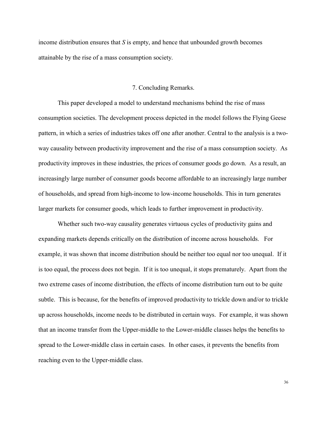income distribution ensures that *S* is empty, and hence that unbounded growth becomes attainable by the rise of a mass consumption society.

### 7. Concluding Remarks.

This paper developed a model to understand mechanisms behind the rise of mass consumption societies. The development process depicted in the model follows the Flying Geese pattern, in which a series of industries takes off one after another. Central to the analysis is a twoway causality between productivity improvement and the rise of a mass consumption society. As productivity improves in these industries, the prices of consumer goods go down. As a result, an increasingly large number of consumer goods become affordable to an increasingly large number of households, and spread from high-income to low-income households. This in turn generates larger markets for consumer goods, which leads to further improvement in productivity.

Whether such two-way causality generates virtuous cycles of productivity gains and expanding markets depends critically on the distribution of income across households. For example, it was shown that income distribution should be neither too equal nor too unequal. If it is too equal, the process does not begin. If it is too unequal, it stops prematurely. Apart from the two extreme cases of income distribution, the effects of income distribution turn out to be quite subtle. This is because, for the benefits of improved productivity to trickle down and/or to trickle up across households, income needs to be distributed in certain ways. For example, it was shown that an income transfer from the Upper-middle to the Lower-middle classes helps the benefits to spread to the Lower-middle class in certain cases. In other cases, it prevents the benefits from reaching even to the Upper-middle class.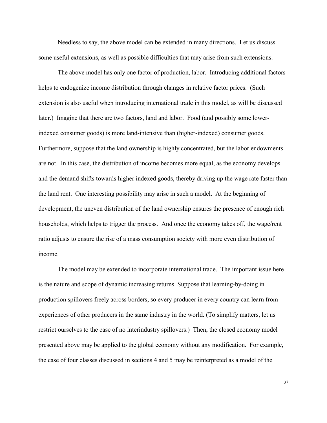Needless to say, the above model can be extended in many directions. Let us discuss some useful extensions, as well as possible difficulties that may arise from such extensions.

The above model has only one factor of production, labor. Introducing additional factors helps to endogenize income distribution through changes in relative factor prices. (Such extension is also useful when introducing international trade in this model, as will be discussed later.) Imagine that there are two factors, land and labor. Food (and possibly some lowerindexed consumer goods) is more land-intensive than (higher-indexed) consumer goods. Furthermore, suppose that the land ownership is highly concentrated, but the labor endowments are not. In this case, the distribution of income becomes more equal, as the economy develops and the demand shifts towards higher indexed goods, thereby driving up the wage rate faster than the land rent. One interesting possibility may arise in such a model. At the beginning of development, the uneven distribution of the land ownership ensures the presence of enough rich households, which helps to trigger the process. And once the economy takes off, the wage/rent ratio adjusts to ensure the rise of a mass consumption society with more even distribution of income.

The model may be extended to incorporate international trade. The important issue here is the nature and scope of dynamic increasing returns. Suppose that learning-by-doing in production spillovers freely across borders, so every producer in every country can learn from experiences of other producers in the same industry in the world. (To simplify matters, let us restrict ourselves to the case of no interindustry spillovers.) Then, the closed economy model presented above may be applied to the global economy without any modification. For example, the case of four classes discussed in sections 4 and 5 may be reinterpreted as a model of the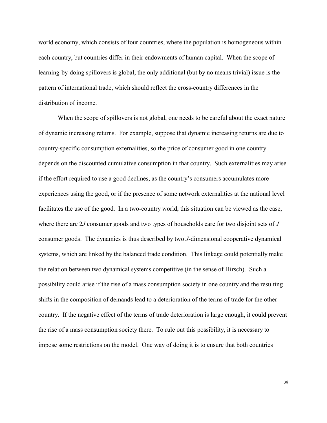world economy, which consists of four countries, where the population is homogeneous within each country, but countries differ in their endowments of human capital. When the scope of learning-by-doing spillovers is global, the only additional (but by no means trivial) issue is the pattern of international trade, which should reflect the cross-country differences in the distribution of income.

When the scope of spillovers is not global, one needs to be careful about the exact nature of dynamic increasing returns. For example, suppose that dynamic increasing returns are due to country-specific consumption externalities, so the price of consumer good in one country depends on the discounted cumulative consumption in that country. Such externalities may arise if the effort required to use a good declines, as the country's consumers accumulates more experiences using the good, or if the presence of some network externalities at the national level facilitates the use of the good. In a two-country world, this situation can be viewed as the case, where there are 2*J* consumer goods and two types of households care for two disjoint sets of *J* consumer goods. The dynamics is thus described by two *J*-dimensional cooperative dynamical systems, which are linked by the balanced trade condition. This linkage could potentially make the relation between two dynamical systems competitive (in the sense of Hirsch). Such a possibility could arise if the rise of a mass consumption society in one country and the resulting shifts in the composition of demands lead to a deterioration of the terms of trade for the other country. If the negative effect of the terms of trade deterioration is large enough, it could prevent the rise of a mass consumption society there. To rule out this possibility, it is necessary to impose some restrictions on the model. One way of doing it is to ensure that both countries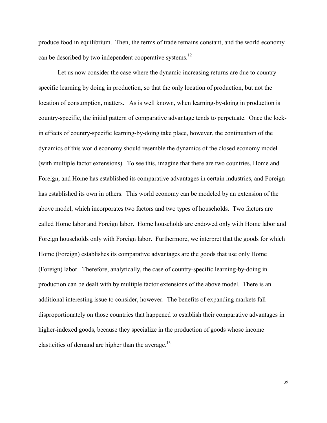produce food in equilibrium. Then, the terms of trade remains constant, and the world economy can be described by two independent cooperative systems.<sup>12</sup>

Let us now consider the case where the dynamic increasing returns are due to countryspecific learning by doing in production, so that the only location of production, but not the location of consumption, matters. As is well known, when learning-by-doing in production is country-specific, the initial pattern of comparative advantage tends to perpetuate. Once the lockin effects of country-specific learning-by-doing take place, however, the continuation of the dynamics of this world economy should resemble the dynamics of the closed economy model (with multiple factor extensions). To see this, imagine that there are two countries, Home and Foreign, and Home has established its comparative advantages in certain industries, and Foreign has established its own in others. This world economy can be modeled by an extension of the above model, which incorporates two factors and two types of households. Two factors are called Home labor and Foreign labor. Home households are endowed only with Home labor and Foreign households only with Foreign labor. Furthermore, we interpret that the goods for which Home (Foreign) establishes its comparative advantages are the goods that use only Home (Foreign) labor. Therefore, analytically, the case of country-specific learning-by-doing in production can be dealt with by multiple factor extensions of the above model. There is an additional interesting issue to consider, however. The benefits of expanding markets fall disproportionately on those countries that happened to establish their comparative advantages in higher-indexed goods, because they specialize in the production of goods whose income elasticities of demand are higher than the average.<sup>13</sup>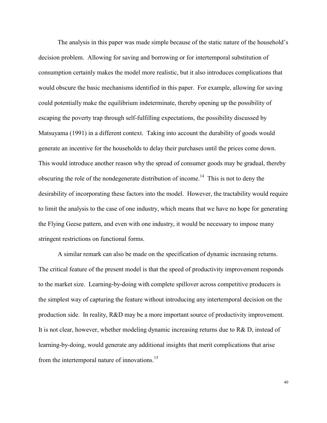The analysis in this paper was made simple because of the static nature of the household's decision problem. Allowing for saving and borrowing or for intertemporal substitution of consumption certainly makes the model more realistic, but it also introduces complications that would obscure the basic mechanisms identified in this paper. For example, allowing for saving could potentially make the equilibrium indeterminate, thereby opening up the possibility of escaping the poverty trap through self-fulfilling expectations, the possibility discussed by Matsuyama (1991) in a different context. Taking into account the durability of goods would generate an incentive for the households to delay their purchases until the prices come down. This would introduce another reason why the spread of consumer goods may be gradual, thereby obscuring the role of the nondegenerate distribution of income.<sup>14</sup> This is not to deny the desirability of incorporating these factors into the model. However, the tractability would require to limit the analysis to the case of one industry, which means that we have no hope for generating the Flying Geese pattern, and even with one industry, it would be necessary to impose many stringent restrictions on functional forms.

A similar remark can also be made on the specification of dynamic increasing returns. The critical feature of the present model is that the speed of productivity improvement responds to the market size. Learning-by-doing with complete spillover across competitive producers is the simplest way of capturing the feature without introducing any intertemporal decision on the production side. In reality, R&D may be a more important source of productivity improvement. It is not clear, however, whether modeling dynamic increasing returns due to R& D, instead of learning-by-doing, would generate any additional insights that merit complications that arise from the intertemporal nature of innovations.<sup>15</sup>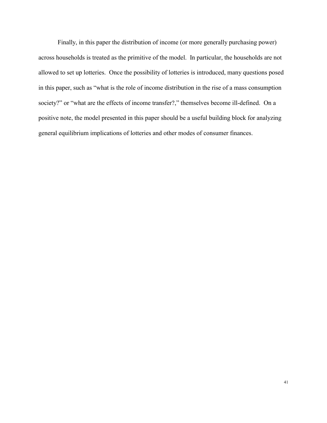Finally, in this paper the distribution of income (or more generally purchasing power) across households is treated as the primitive of the model. In particular, the households are not allowed to set up lotteries. Once the possibility of lotteries is introduced, many questions posed in this paper, such as "what is the role of income distribution in the rise of a mass consumption society?" or "what are the effects of income transfer?," themselves become ill-defined. On a positive note, the model presented in this paper should be a useful building block for analyzing general equilibrium implications of lotteries and other modes of consumer finances.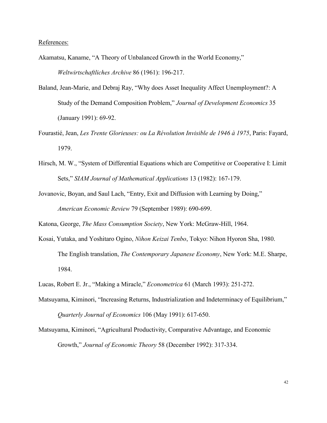References:

Akamatsu, Kaname, "A Theory of Unbalanced Growth in the World Economy," *Weltwirtschaftliches Archive* 86 (1961): 196-217.

- Baland, Jean-Marie, and Debraj Ray, "Why does Asset Inequality Affect Unemployment?: A Study of the Demand Composition Problem," *Journal of Development Economics* 35 (January 1991): 69-92.
- Fourastié, Jean, *Les Trente Glorieuses: ou La Révolution Invisible de 1946 à 1975*, Paris: Fayard, 1979.
- Hirsch, M. W., "System of Differential Equations which are Competitive or Cooperative I: Limit Sets," *SIAM Journal of Mathematical Applications* 13 (1982): 167-179.
- Jovanovic, Boyan, and Saul Lach, "Entry, Exit and Diffusion with Learning by Doing," *American Economic Review* 79 (September 1989): 690-699.

Katona, George, *The Mass Consumption Society*, New York: McGraw-Hill, 1964.

Kosai, Yutaka, and Yoshitaro Ogino, *Nihon Keizai Tenbo*, Tokyo: Nihon Hyoron Sha, 1980. The English translation, *The Contemporary Japanese Economy*, New York: M.E. Sharpe, 1984.

Matsuyama, Kiminori, "Increasing Returns, Industrialization and Indeterminacy of Equilibrium," *Quarterly Journal of Economics* 106 (May 1991): 617-650.

Matsuyama, Kiminori, "Agricultural Productivity, Comparative Advantage, and Economic Growth," *Journal of Economic Theory* 58 (December 1992): 317-334.

Lucas, Robert E. Jr., "Making a Miracle," *Econometrica* 61 (March 1993): 251-272.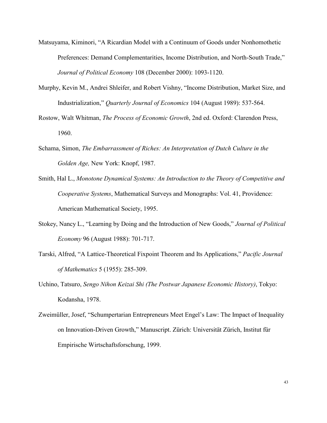- Matsuyama, Kiminori, "A Ricardian Model with a Continuum of Goods under Nonhomothetic Preferences: Demand Complementarities, Income Distribution, and North-South Trade," *Journal of Political Economy* 108 (December 2000): 1093-1120.
- Murphy, Kevin M., Andrei Shleifer, and Robert Vishny, "Income Distribution, Market Size, and Industrialization," *Quarterly Journal of Economics* 104 (August 1989): 537-564.
- Rostow, Walt Whitman, *The Process of Economic Growth*, 2nd ed. Oxford: Clarendon Press, 1960.
- Schama, Simon, *The Embarrassment of Riches: An Interpretation of Dutch Culture in the Golden Age,* New York: Knopf, 1987.
- Smith, Hal L., *Monotone Dynamical Systems: An Introduction to the Theory of Competitive and Cooperative Systems*, Mathematical Surveys and Monographs: Vol. 41, Providence: American Mathematical Society, 1995.
- Stokey, Nancy L., "Learning by Doing and the Introduction of New Goods," *Journal of Political Economy* 96 (August 1988): 701-717.
- Tarski, Alfred, "A Lattice-Theoretical Fixpoint Theorem and Its Applications," *Pacific Journal of Mathematics* 5 (1955): 285-309.
- Uchino, Tatsuro, *Sengo Nihon Keizai Shi (The Postwar Japanese Economic History)*, Tokyo: Kodansha, 1978.
- Zweimüller, Josef, "Schumpertarian Entrepreneurs Meet Engel's Law: The Impact of Inequality on Innovation-Driven Growth," Manuscript. Zürich: Universität Zürich, Institut für Empirische Wirtschaftsforschung, 1999.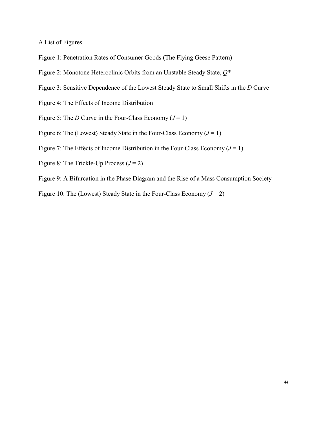A List of Figures

- Figure 1: Penetration Rates of Consumer Goods (The Flying Geese Pattern)
- Figure 2: Monotone Heteroclinic Orbits from an Unstable Steady State, *Q\**
- Figure 3: Sensitive Dependence of the Lowest Steady State to Small Shifts in the *D* Curve
- Figure 4: The Effects of Income Distribution
- Figure 5: The *D* Curve in the Four-Class Economy  $(J = 1)$
- Figure 6: The (Lowest) Steady State in the Four-Class Economy  $(J = 1)$
- Figure 7: The Effects of Income Distribution in the Four-Class Economy  $(J = 1)$
- Figure 8: The Trickle-Up Process  $(J=2)$
- Figure 9: A Bifurcation in the Phase Diagram and the Rise of a Mass Consumption Society
- Figure 10: The (Lowest) Steady State in the Four-Class Economy  $(J = 2)$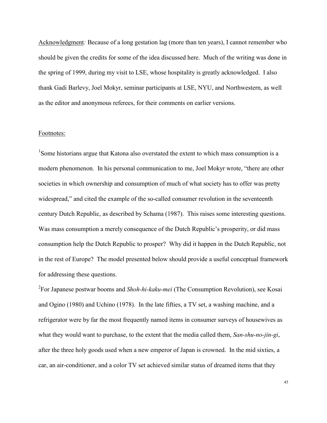Acknowledgment: Because of a long gestation lag (more than ten years), I cannot remember who should be given the credits for some of the idea discussed here. Much of the writing was done in the spring of 1999, during my visit to LSE, whose hospitality is greatly acknowledged. I also thank Gadi Barlevy, Joel Mokyr, seminar participants at LSE, NYU, and Northwestern, as well as the editor and anonymous referees, for their comments on earlier versions.

## Footnotes:

<sup>1</sup>Some historians argue that Katona also overstated the extent to which mass consumption is a modern phenomenon. In his personal communication to me, Joel Mokyr wrote, "there are other societies in which ownership and consumption of much of what society has to offer was pretty widespread," and cited the example of the so-called consumer revolution in the seventeenth century Dutch Republic, as described by Schama (1987). This raises some interesting questions. Was mass consumption a merely consequence of the Dutch Republic's prosperity, or did mass consumption help the Dutch Republic to prosper? Why did it happen in the Dutch Republic, not in the rest of Europe? The model presented below should provide a useful conceptual framework for addressing these questions.

2 For Japanese postwar booms and *Shoh-hi-kaku-mei* (The Consumption Revolution), see Kosai and Ogino (1980) and Uchino (1978). In the late fifties, a TV set, a washing machine, and a refrigerator were by far the most frequently named items in consumer surveys of housewives as what they would want to purchase, to the extent that the media called them, *San-shu-no-jin-gi*, after the three holy goods used when a new emperor of Japan is crowned. In the mid sixties, a car, an air-conditioner, and a color TV set achieved similar status of dreamed items that they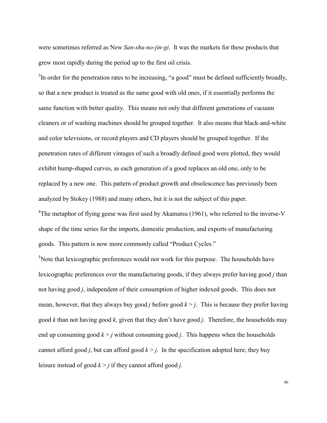were sometimes referred as New *San-shu-no-jin-gi*. It was the markets for these products that grew most rapidly during the period up to the first oil crisis.

 $3$ In order for the penetration rates to be increasing, "a good" must be defined sufficiently broadly, so that a new product is treated as the same good with old ones, if it essentially performs the same function with better quality. This means not only that different generations of vacuum cleaners or of washing machines should be grouped together. It also means that black-and-white and color televisions, or record players and CD players should be grouped together. If the penetration rates of different vintages of such a broadly defined good were plotted, they would exhibit hump-shaped curves, as each generation of a good replaces an old one, only to be replaced by a new one. This pattern of product growth and obsolescence has previously been analyzed by Stokey (1988) and many others, but it is not the subject of this paper.

<sup>4</sup>The metaphor of flying geese was first used by Akamatsu (1961), who referred to the inverse-V shape of the time series for the imports, domestic production, and exports of manufacturing goods. This pattern is now more commonly called "Product Cycles."

 $<sup>5</sup>$ Note that lexicographic preferences would not work for this purpose. The households have</sup> lexicographic preferences over the manufacturing goods, if they always prefer having good *j* than not having good *j*, independent of their consumption of higher indexed goods. This does not mean, however, that they always buy good *j* before good  $k > j$ . This is because they prefer having good *k* than not having good *k*, given that they don't have good *j*. Therefore, the households may end up consuming good  $k > j$  without consuming good *j*. This happens when the households cannot afford good *j*, but can afford good  $k > j$ . In the specification adopted here, they buy leisure instead of good  $k > j$  if they cannot afford good *j*.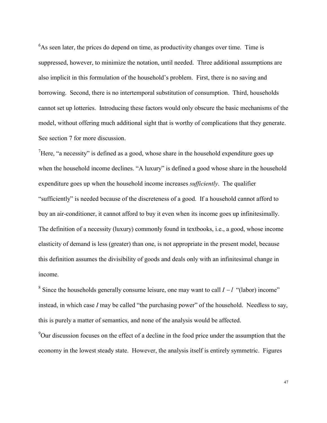$6$ As seen later, the prices do depend on time, as productivity changes over time. Time is suppressed, however, to minimize the notation, until needed. Three additional assumptions are also implicit in this formulation of the household's problem. First, there is no saving and borrowing. Second, there is no intertemporal substitution of consumption. Third, households cannot set up lotteries. Introducing these factors would only obscure the basic mechanisms of the model, without offering much additional sight that is worthy of complications that they generate. See section 7 for more discussion.

<sup>7</sup>Here, "a necessity" is defined as a good, whose share in the household expenditure goes up when the household income declines. "A luxury" is defined a good whose share in the household expenditure goes up when the household income increases *sufficiently*. The qualifier "sufficiently" is needed because of the discreteness of a good. If a household cannot afford to buy an air-conditioner, it cannot afford to buy it even when its income goes up infinitesimally. The definition of a necessity (luxury) commonly found in textbooks, i.e., a good, whose income elasticity of demand is less (greater) than one, is not appropriate in the present model, because this definition assumes the divisibility of goods and deals only with an infinitesimal change in income.

<sup>8</sup> Since the households generally consume leisure, one may want to call  $I - l$  "(labor) income" instead, in which case *I* may be called "the purchasing power" of the household. Needless to say, this is purely a matter of semantics, and none of the analysis would be affected.

<sup>9</sup>Our discussion focuses on the effect of a decline in the food price under the assumption that the economy in the lowest steady state. However, the analysis itself is entirely symmetric. Figures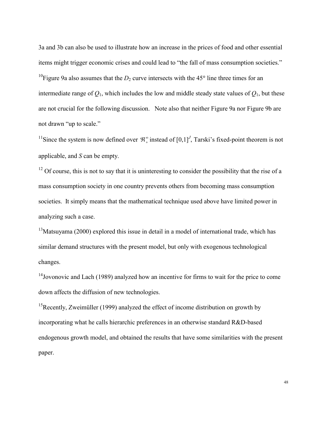3a and 3b can also be used to illustrate how an increase in the prices of food and other essential items might trigger economic crises and could lead to "the fall of mass consumption societies." <sup>10</sup>Figure 9a also assumes that the  $D_2$  curve intersects with the 45 $\degree$  line three times for an intermediate range of  $Q_1$ , which includes the low and middle steady state values of  $Q_1$ , but these are not crucial for the following discussion. Note also that neither Figure 9a nor Figure 9b are not drawn "up to scale."

<sup>11</sup>Since the system is now defined over  $\mathcal{R}^{\infty}_{+}$  instead of [0,1]<sup>*J*</sup>, Tarski's fixed-point theorem is not applicable, and *S* can be empty.

 $12$  Of course, this is not to say that it is uninteresting to consider the possibility that the rise of a mass consumption society in one country prevents others from becoming mass consumption societies. It simply means that the mathematical technique used above have limited power in analyzing such a case.

 $13$ Matsuyama (2000) explored this issue in detail in a model of international trade, which has similar demand structures with the present model, but only with exogenous technological changes.

<sup>14</sup>Jovonovic and Lach (1989) analyzed how an incentive for firms to wait for the price to come down affects the diffusion of new technologies.

<sup>15</sup>Recently, Zweimüller (1999) analyzed the effect of income distribution on growth by incorporating what he calls hierarchic preferences in an otherwise standard R&D-based endogenous growth model, and obtained the results that have some similarities with the present paper.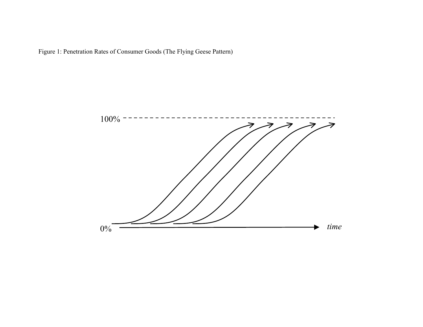

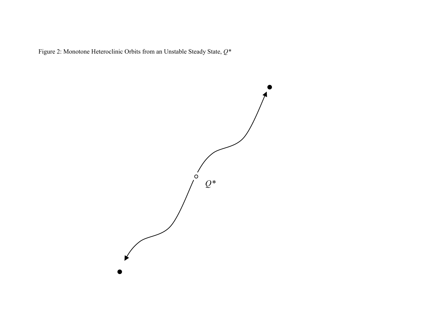Figure 2: Monotone Heteroclinic Orbits from an Unstable Steady State, *Q\**

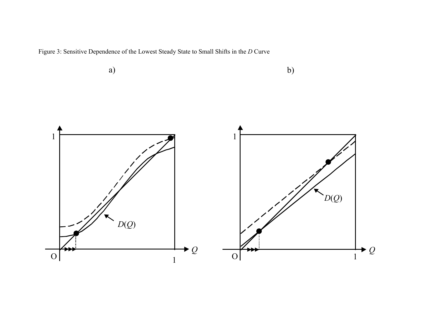Figure 3: Sensitive Dependence of the Lowest Steady State to Small Shifts in the *D* Curve

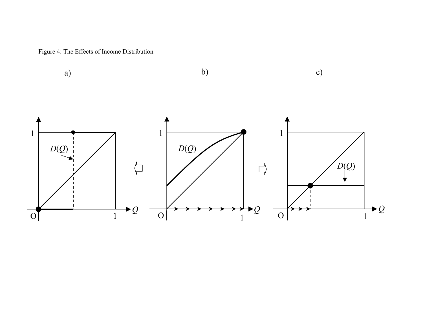Figure 4: The Effects of Income Distribution

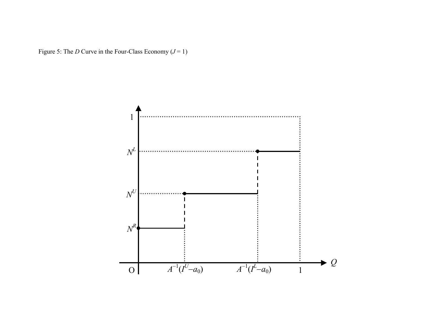Figure 5: The *D* Curve in the Four-Class Economy  $(J = 1)$ 

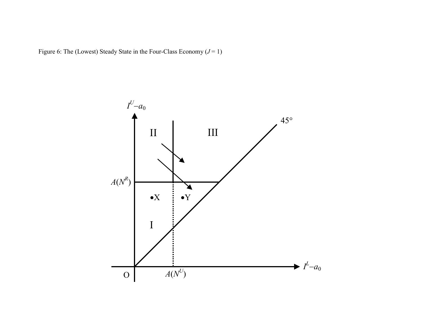Figure 6: The (Lowest) Steady State in the Four-Class Economy  $(J = 1)$ 

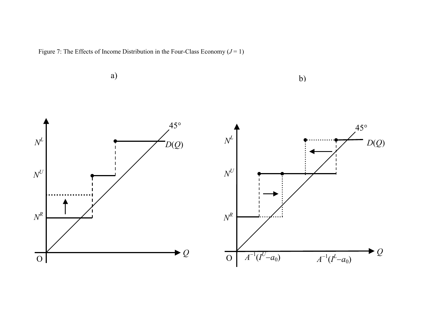Figure 7: The Effects of Income Distribution in the Four-Class Economy  $(J = 1)$ 

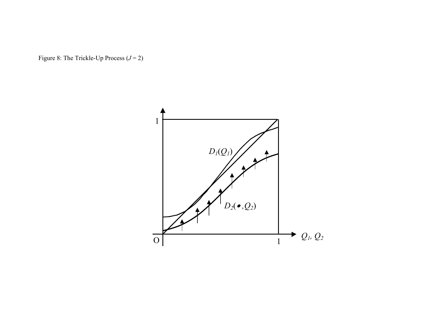Figure 8: The Trickle-Up Process  $(J = 2)$ 

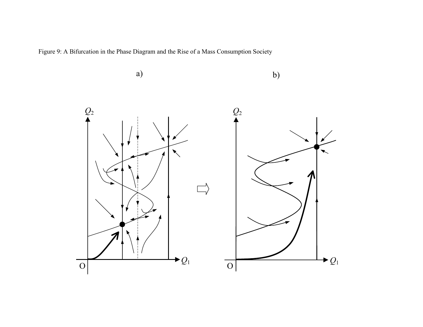Figure 9: A Bifurcation in the Phase Diagram and the Rise of a Mass Consumption Society